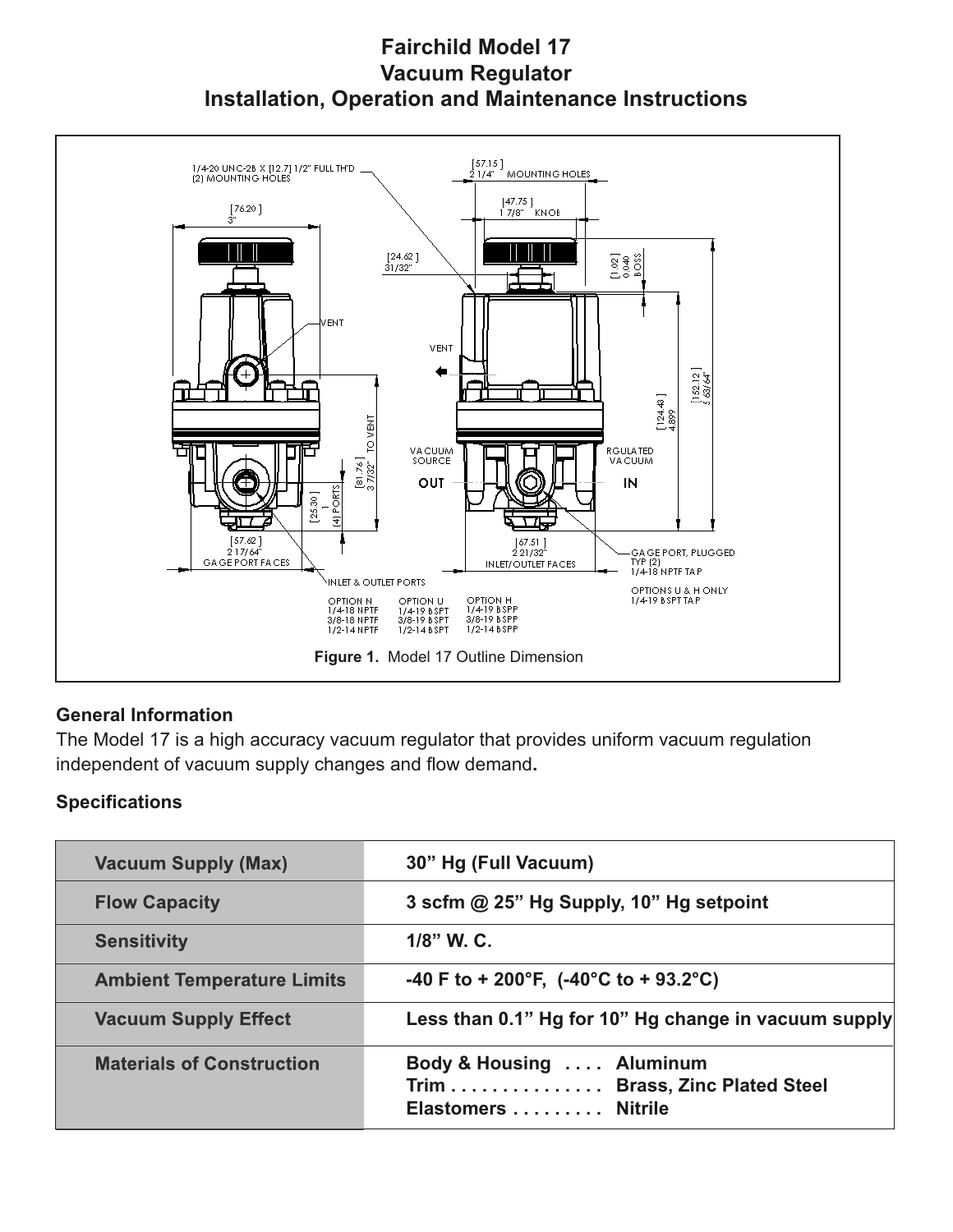# **Fairchild Model 17 Vacuum Regulator Installation, Operation and Maintenance Instructions**



#### **General Information**

The Model 17 is a high accuracy vacuum regulator that provides uniform vacuum regulation independent of vacuum supply changes and flow demand**.**

## **Specifications**

| <b>Vacuum Supply (Max)</b>        | 30" Hg (Full Vacuum)                                                             |
|-----------------------------------|----------------------------------------------------------------------------------|
| <b>Flow Capacity</b>              | 3 scfm @ 25" Hg Supply, 10" Hg setpoint                                          |
| <b>Sensitivity</b>                | 1/8" W. C.                                                                       |
| <b>Ambient Temperature Limits</b> | -40 F to + 200°F, $(-40^{\circ}$ C to + 93.2°C)                                  |
| <b>Vacuum Supply Effect</b>       | Less than 0.1" Hg for 10" Hg change in vacuum supply                             |
| <b>Materials of Construction</b>  | Body & Housing  Aluminum<br>Trim Brass, Zinc Plated Steel<br>Elastomers  Nitrile |